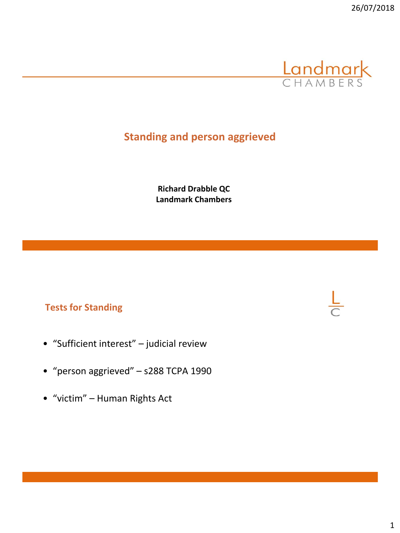

# **Standing and person aggrieved**

**Richard Drabble QC Landmark Chambers** 

#### **Tests for Standing**

- "Sufficient interest" judicial review
- "person aggrieved" s288 TCPA 1990
- "victim" Human Rights Act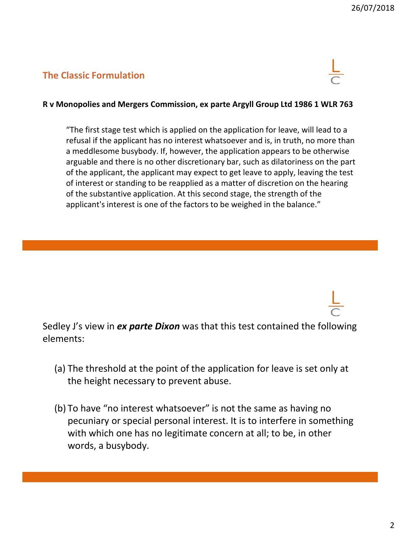#### **The Classic Formulation**



#### **R v Monopolies and Mergers Commission, ex parte Argyll Group Ltd 1986 1 WLR 763**

"The first stage test which is applied on the application for leave, will lead to a refusal if the applicant has no interest whatsoever and is, in truth, no more than a meddlesome busybody. If, however, the application appears to be otherwise arguable and there is no other discretionary bar, such as dilatoriness on the part of the applicant, the applicant may expect to get leave to apply, leaving the test of interest or standing to be reapplied as a matter of discretion on the hearing of the substantive application. At this second stage, the strength of the applicant's interest is one of the factors to be weighed in the balance."

Sedley J's view in *ex parte Dixon* was that this test contained the following elements:

- (a) The threshold at the point of the application for leave is set only at the height necessary to prevent abuse.
- (b) To have "no interest whatsoever" is not the same as having no pecuniary or special personal interest. It is to interfere in something with which one has no legitimate concern at all; to be, in other words, a busybody.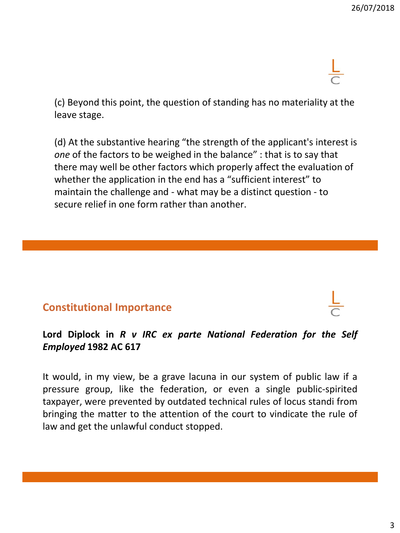(c) Beyond this point, the question of standing has no materiality at the leave stage.

(d) At the substantive hearing "the strength of the applicant's interest is *one* of the factors to be weighed in the balance" : that is to say that there may well be other factors which properly affect the evaluation of whether the application in the end has a "sufficient interest" to maintain the challenge and - what may be a distinct question - to secure relief in one form rather than another.

## **Constitutional Importance**

### **Lord Diplock in** *R v IRC ex parte National Federation for the Self Employed* **1982 AC 617**

It would, in my view, be a grave lacuna in our system of public law if a pressure group, like the federation, or even a single public-spirited taxpayer, were prevented by outdated technical rules of locus standi from bringing the matter to the attention of the court to vindicate the rule of law and get the unlawful conduct stopped.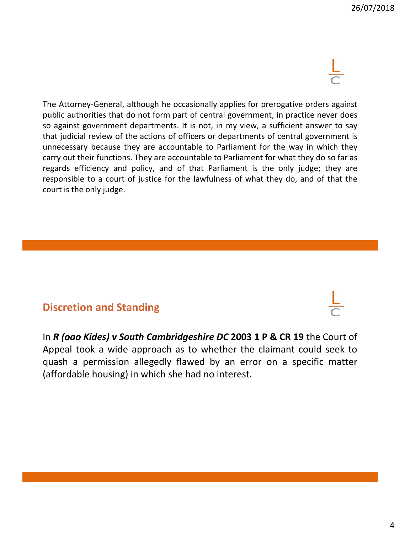

The Attorney-General, although he occasionally applies for prerogative orders against public authorities that do not form part of central government, in practice never does so against government departments. It is not, in my view, a sufficient answer to say that judicial review of the actions of officers or departments of central government is unnecessary because they are accountable to Parliament for the way in which they carry out their functions. They are accountable to Parliament for what they do so far as regards efficiency and policy, and of that Parliament is the only judge; they are responsible to a court of justice for the lawfulness of what they do, and of that the court is the only judge.

## **Discretion and Standing**

In *R (oao Kides) v South Cambridgeshire DC* **2003 1 P & CR 19** the Court of Appeal took a wide approach as to whether the claimant could seek to quash a permission allegedly flawed by an error on a specific matter (affordable housing) in which she had no interest.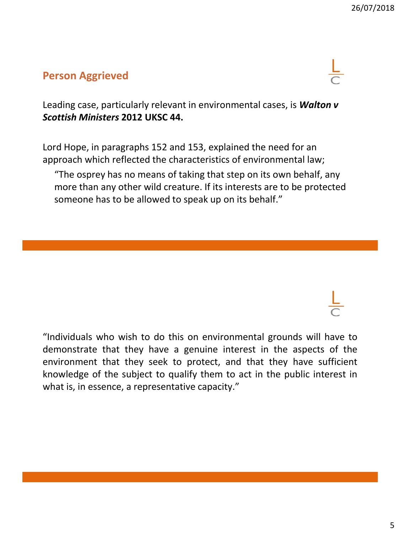# **Person Aggrieved**



Leading case, particularly relevant in environmental cases, is *Walton v Scottish Ministers* **2012 UKSC 44.**

Lord Hope, in paragraphs 152 and 153, explained the need for an approach which reflected the characteristics of environmental law;

"The osprey has no means of taking that step on its own behalf, any more than any other wild creature. If its interests are to be protected someone has to be allowed to speak up on its behalf."

"Individuals who wish to do this on environmental grounds will have to demonstrate that they have a genuine interest in the aspects of the environment that they seek to protect, and that they have sufficient knowledge of the subject to qualify them to act in the public interest in what is, in essence, a representative capacity."